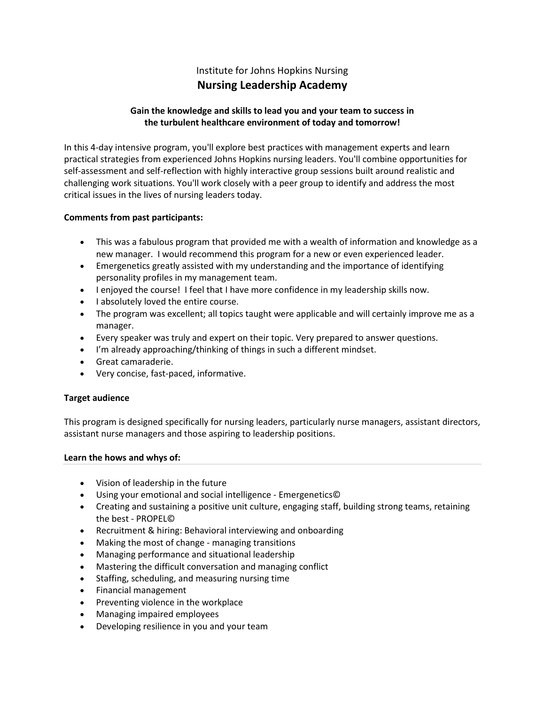# Institute for Johns Hopkins Nursing **Nursing Leadership Academy**

# **Gain the knowledge and skills to lead you and your team to success in the turbulent healthcare environment of today and tomorrow!**

In this 4-day intensive program, you'll explore best practices with management experts and learn practical strategies from experienced Johns Hopkins nursing leaders. You'll combine opportunities for self-assessment and self-reflection with highly interactive group sessions built around realistic and challenging work situations. You'll work closely with a peer group to identify and address the most critical issues in the lives of nursing leaders today.

## **Comments from past participants:**

- This was a fabulous program that provided me with a wealth of information and knowledge as a new manager. I would recommend this program for a new or even experienced leader.
- Emergenetics greatly assisted with my understanding and the importance of identifying personality profiles in my management team.
- I enjoyed the course! I feel that I have more confidence in my leadership skills now.
- I absolutely loved the entire course.
- The program was excellent; all topics taught were applicable and will certainly improve me as a manager.
- Every speaker was truly and expert on their topic. Very prepared to answer questions.
- I'm already approaching/thinking of things in such a different mindset.
- Great camaraderie.
- Very concise, fast-paced, informative.

# **Target audience**

This program is designed specifically for nursing leaders, particularly nurse managers, assistant directors, assistant nurse managers and those aspiring to leadership positions.

### **Learn the hows and whys of:**

- Vision of leadership in the future
- Using your emotional and social intelligence [Emergenetics©](http://www.emergenetics.com/whatis/the-emergenetics-difference)
- Creating and sustaining a positive unit culture, engaging staff, building strong teams, retaining the best - [PROPEL©](http://www.propelperformance.com/our-results/)
- Recruitment & hiring: Behavioral interviewing and onboarding
- Making the most of change managing transitions
- Managing performance and situational leadership
- Mastering the difficult conversation and managing conflict
- Staffing, scheduling, and measuring nursing time
- Financial management
- Preventing violence in the workplace
- Managing impaired employees
- Developing resilience in you and your team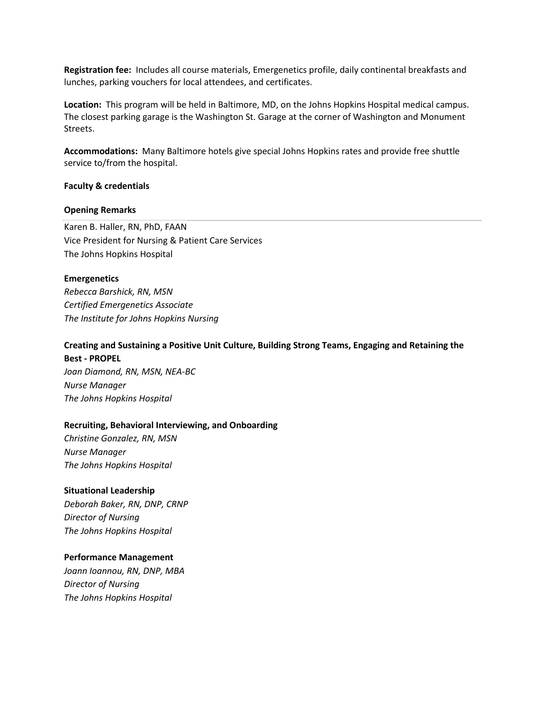**Registration fee:** Includes all course materials, Emergenetics profile, daily continental breakfasts and lunches, parking vouchers for local attendees, and certificates.

**Location:** This program will be held in [Baltimore, MD,](http://baltimore.org/) on the Johns Hopkins Hospital medical campus. The closest parking garage is the Washington St. Garage at the corner of Washington and Monument Streets.

**Accommodations:** Many Baltimore hotels give special Johns Hopkins rates and provide free shuttle service to/from the hospital.

### **Faculty & credentials**

### **Opening Remarks**

Karen B. Haller, RN, PhD, FAAN Vice President for Nursing & Patient Care Services The Johns Hopkins Hospital

### **[Emergenetics](http://www.emergenetics.com/whatis)**

*Rebecca Barshick, RN, MSN Certified Emergenetics Associate The Institute for Johns Hopkins Nursing*

# **Creating and Sustaining a Positive Unit Culture, Building Strong Teams, Engaging and Retaining the Best - [PROPEL](http://www.propelperformance.com/)**

*Joan Diamond, RN, MSN, NEA-BC Nurse Manager The Johns Hopkins Hospital*

### **Recruiting, Behavioral Interviewing, and Onboarding**

*Christine Gonzalez, RN, MSN Nurse Manager The Johns Hopkins Hospital*

### **Situational Leadership**

*Deborah Baker, RN, DNP, CRNP Director of Nursing The Johns Hopkins Hospital*

### **Performance Management**

*Joann Ioannou, RN, DNP, MBA Director of Nursing The Johns Hopkins Hospital*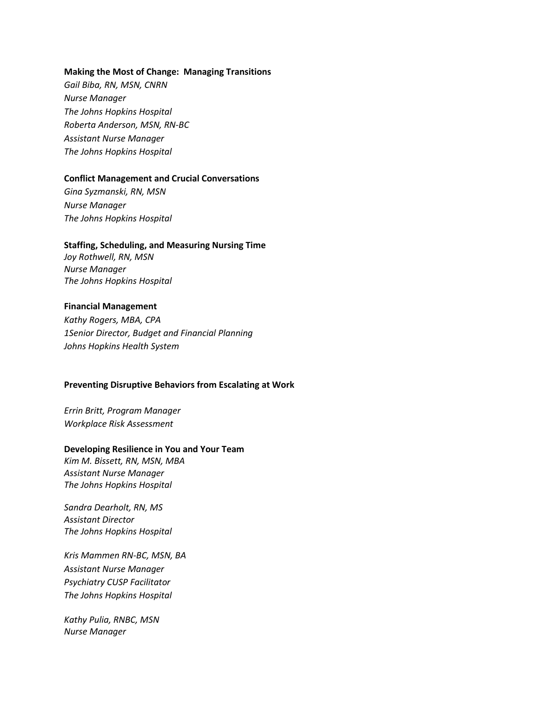#### **Making the Most of Change: Managing Transitions**

*Gail Biba, RN, MSN, CNRN Nurse Manager The Johns Hopkins Hospital Roberta Anderson, MSN, RN-BC Assistant Nurse Manager The Johns Hopkins Hospital*

#### **Conflict Management and Crucial Conversations**

*Gina Syzmanski, RN, MSN Nurse Manager The Johns Hopkins Hospital*

#### **Staffing, Scheduling, and Measuring Nursing Time**

*Joy Rothwell, RN, MSN Nurse Manager The Johns Hopkins Hospital*

### **Financial Management**

*Kathy Rogers, MBA, CPA 1Senior Director, Budget and Financial Planning Johns Hopkins Health System*

### **Preventing Disruptive Behaviors from Escalating at Work**

*Errin Britt, Program Manager Workplace Risk Assessment*

#### **Developing Resilience in You and Your Team**

*Kim M. Bissett, RN, MSN, MBA Assistant Nurse Manager The Johns Hopkins Hospital*

*Sandra Dearholt, RN, MS Assistant Director The Johns Hopkins Hospital*

*Kris Mammen RN-BC, MSN, BA Assistant Nurse Manager Psychiatry CUSP Facilitator The Johns Hopkins Hospital*

*Kathy Pulia, RNBC, MSN Nurse Manager*